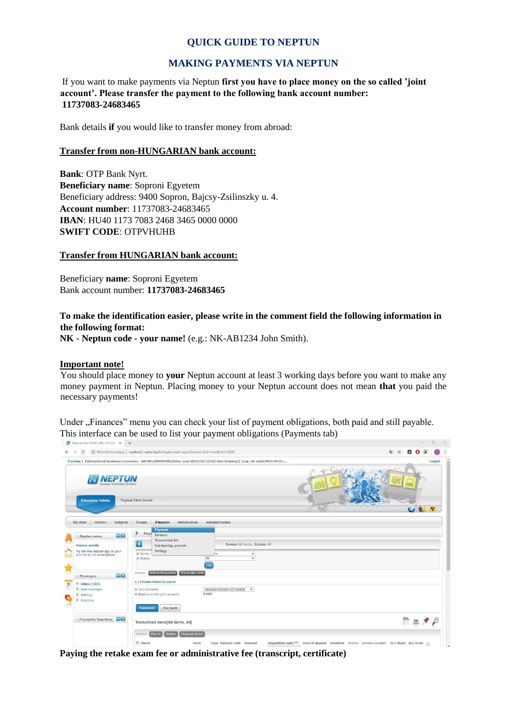## **QUICK GUIDE TO NEPTUN**

## **MAKING PAYMENTS VIA NEPTUN**

If you want to make payments via Neptun **first you have to place money on the so called 'joint account'. Please transfer the payment to the following bank account number: 11737083-24683465**

Bank details **if** you would like to transfer money from abroad:

#### **Transfer from non-HUNGARIAN bank account:**

**Bank**: OTP Bank Nyrt. **Beneficiary name**: Soproni Egyetem Beneficiary address: 9400 Sopron, Bajcsy-Zsilinszky u. 4. **Account number**: 11737083-24683465 **IBAN**: HU40 1173 7083 2468 3465 0000 0000 **SWIFT CODE**: OTPVHUHB

#### **Transfer from HUNGARIAN bank account:**

Beneficiary **name**: Soproni Egyetem Bank account number: **11737083-24683465**

**To make the identification easier, please write in the comment field the following information in the following format:** 

**NK - Neptun code - your name!** (e.g.: NK-AB1234 John Smith).

#### **Important note!**

You should place money to **your** Neptun account at least 3 working days before you want to make any money payment in Neptun. Placing money to your Neptun account does not mean **that** you paid the necessary payments!

Under "Finances" menu you can check your list of payment obligations, both paid and still payable. This interface can be used to list your payment obligations (Payments tab)

| Neptun.Net NYME_HW_193.224 X +                                                                                                                                                                                                                                                                                                                                                                                                                                                                                                                                                                                                                                                                                                                                                                                                                                                                                                                                                                                                                                                                                                                                           |                                                                                                                                                                                      | $\Box$<br>$\frac{1}{2} \left( \frac{1}{2} \right) \left( \frac{1}{2} \right) \left( \frac{1}{2} \right) \left( \frac{1}{2} \right) \left( \frac{1}{2} \right) \left( \frac{1}{2} \right) \left( \frac{1}{2} \right) \left( \frac{1}{2} \right) \left( \frac{1}{2} \right) \left( \frac{1}{2} \right) \left( \frac{1}{2} \right) \left( \frac{1}{2} \right) \left( \frac{1}{2} \right) \left( \frac{1}{2} \right) \left( \frac{1}{2} \right) \left( \frac{1}{2} \right) \left( \frac$<br>$\times$ |
|--------------------------------------------------------------------------------------------------------------------------------------------------------------------------------------------------------------------------------------------------------------------------------------------------------------------------------------------------------------------------------------------------------------------------------------------------------------------------------------------------------------------------------------------------------------------------------------------------------------------------------------------------------------------------------------------------------------------------------------------------------------------------------------------------------------------------------------------------------------------------------------------------------------------------------------------------------------------------------------------------------------------------------------------------------------------------------------------------------------------------------------------------------------------------|--------------------------------------------------------------------------------------------------------------------------------------------------------------------------------------|--------------------------------------------------------------------------------------------------------------------------------------------------------------------------------------------------------------------------------------------------------------------------------------------------------------------------------------------------------------------------------------------------------------------------------------------------------------------------------------------------|
| @ Nem biztonságos   neptun3r.nyme.hu/hallgato/main.aspx?ismenuclick=true&ctrl=0501<br>$\mathbb{Z}$<br>$\Delta$<br>$\Box$<br>C<br>Training   International Business Economics - BA/BSc(KBNNEME)(Adm. year:2019/20/1[Full-time training]) (Leq. rel. start:2019.09.01<br>Logout<br><b>Neptun Meet Street</b><br><b>Education Admin.</b><br>÷<br>Studies<br>Subjects<br>Exams<br><b>Finances</b><br>Information<br>Administration<br>Payment<br>×.<br>Payr<br>Invoices<br>例図<br>Neptun news<br><b>Transaction list</b><br>$\overline{\mathbf{r}}$<br>Terms: All terms, Status: All<br><b>Neptun mobile</b><br>Scholarship, payouts<br><b>Settings</b><br>Try the free Neptun app on your<br>Terms:<br>ns<br>$\pmb{\tau}$<br>Android or IOS smartphone.<br>All<br>$\bullet$<br>Status:<br>List<br>Add to favourites Transcribe item<br>Actions:<br>例文<br>Messages<br>1.) Choose items to pay in<br>$\Diamond$ Inbox (133)<br>Sent messages<br>§ Joint accounts<br>100330010029061001120008<br>$\bullet$<br>0 HUF<br>S Balance on the joint account:<br>a<br>Settings<br><b>Directory</b><br>Pay back<br>Payments<br>Favourite functions<br>Transcribed items[All terms, All] |                                                                                                                                                                                      |                                                                                                                                                                                                                                                                                                                                                                                                                                                                                                  |
|                                                                                                                                                                                                                                                                                                                                                                                                                                                                                                                                                                                                                                                                                                                                                                                                                                                                                                                                                                                                                                                                                                                                                                          |                                                                                                                                                                                      |                                                                                                                                                                                                                                                                                                                                                                                                                                                                                                  |
| My data                                                                                                                                                                                                                                                                                                                                                                                                                                                                                                                                                                                                                                                                                                                                                                                                                                                                                                                                                                                                                                                                                                                                                                  |                                                                                                                                                                                      |                                                                                                                                                                                                                                                                                                                                                                                                                                                                                                  |
| $\overline{7}$                                                                                                                                                                                                                                                                                                                                                                                                                                                                                                                                                                                                                                                                                                                                                                                                                                                                                                                                                                                                                                                                                                                                                           |                                                                                                                                                                                      |                                                                                                                                                                                                                                                                                                                                                                                                                                                                                                  |
|                                                                                                                                                                                                                                                                                                                                                                                                                                                                                                                                                                                                                                                                                                                                                                                                                                                                                                                                                                                                                                                                                                                                                                          | Student loan1<br>Delete<br>Actions: Pay in<br>$E$ Name<br>Imposition date  v  Date of deposit Deadline Status Invoice number SL1 State SL2 State<br>Term<br>Type Subject code Amount |                                                                                                                                                                                                                                                                                                                                                                                                                                                                                                  |

**Paying the retake exam fee or administrative fee (transcript, certificate)**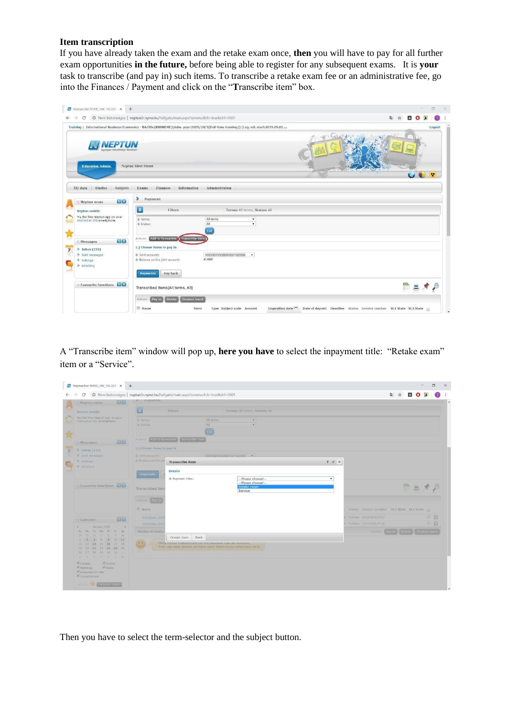### **Item transcription**

If you have already taken the exam and the retake exam once, **then** you will have to pay for all further exam opportunities **in the future,** before being able to register for any subsequent exams. It is **your** task to transcribe (and pay in) such items. To transcribe a retake exam fee or an administrative fee, go into the Finances / Payment and click on the "**T**ranscribe item" box.

| C<br>$\rightarrow$                                            | @ Nem biztonságos   neptun3r.nyme.hu/hallgato/main.aspx?ismenuclick=true&ctrl=0501                                                 |                                     |                                     | 配<br>о       |
|---------------------------------------------------------------|------------------------------------------------------------------------------------------------------------------------------------|-------------------------------------|-------------------------------------|--------------|
|                                                               | Training   International Business Economics - BA/BSc(KBNNEME)(Adm. year:2019/20/1[Full-time training]) (Leg. rel. start:2019.09.01 |                                     |                                     | Logout       |
| gységes Tanulmányi Rendszi<br><b>Education Admin.</b>         | Neptun Meet Street                                                                                                                 |                                     |                                     | $\mathbf{v}$ |
| Studies<br>Subjects<br>My data<br>9×<br>Neptun news           | Exams<br>Finances Information<br>×<br>Payment                                                                                      | Administration                      |                                     |              |
| Neptun mobile                                                 | $\hat{\mathbf{z}}$<br>Filters                                                                                                      | Terms: All terms, Status: All       |                                     |              |
| Try the free Neptun app on your<br>Android or IOS smartphone. | Terms:<br>Status:                                                                                                                  | All terms<br>All<br>List            | $\pmb{\mathrm{v}}$<br>$\pmb{\cdot}$ |              |
| <b>DIX</b><br>Messages                                        | Actions: Add to favourites (Transcribe item                                                                                        |                                     |                                     |              |
| $\Diamond$ Inbox (133)<br>Sent messages                       | 1.) Choose items to pay in<br>Soint accounts<br>Se Balance on the joint account:                                                   | 100330010029061001120008 -<br>0 HUF |                                     |              |
| Settings<br>S Directory                                       |                                                                                                                                    |                                     |                                     |              |
| <b>Exercise Favourite functions</b>                           | Pay back<br>Payments<br>Transcribed items[All terms, All]                                                                          |                                     |                                     |              |

A "Transcribe item" window will pop up, **here you have** to select the inpayment title: "Retake exam" item or a "Service".

| $\mathcal{C}$                                                                                                          | © Nem biztonságos   neptun3r.nyme.hu/hallgato/main.aspx?ismenuclick=true&ctrl=0501 |                                                                           |                                                                    |                                                    |                                           | <b>DOA</b>          |           |
|------------------------------------------------------------------------------------------------------------------------|------------------------------------------------------------------------------------|---------------------------------------------------------------------------|--------------------------------------------------------------------|----------------------------------------------------|-------------------------------------------|---------------------|-----------|
| 9963<br>Neptun news                                                                                                    | rayment                                                                            |                                                                           |                                                                    |                                                    |                                           |                     |           |
| Neptun mobile                                                                                                          | $  \mathbf{a}  $<br>Filters                                                        |                                                                           | Terms: All terms, Status: All                                      |                                                    |                                           |                     |           |
| Try the free Neptun app on your<br>Android or it)S smartphone.                                                         | <b>S</b> Terms<br>S Status:                                                        | All terms<br>AII<br><b>TIst</b>                                           | $\mathbf{r}$<br>$\tau$                                             |                                                    |                                           |                     |           |
| 08<br>Messages                                                                                                         | Actor: E Add to favourites Transcribe item                                         |                                                                           |                                                                    |                                                    |                                           |                     |           |
| $\approx$ Inbox (133)                                                                                                  | 1.) Choose Items to pay in                                                         |                                                                           |                                                                    |                                                    |                                           |                     |           |
| Sent messages                                                                                                          | <b>b</b> Joint accounts<br>S Balance on the joil                                   |                                                                           | 100330010029061001120008                                           |                                                    |                                           |                     |           |
| Settings<br><b>Directory</b>                                                                                           |                                                                                    | <b>Transcribe</b> item                                                    |                                                                    | ? 己 ※                                              |                                           |                     |           |
|                                                                                                                        | <b>Details</b><br>Payments                                                         |                                                                           |                                                                    |                                                    |                                           |                     |           |
| Favourite functions                                                                                                    | Transcribed item                                                                   | Payment titles:                                                           | --Please choosel--<br>--Please choose!--<br>Retake exam<br>Service | $\pmb{\cdot}$                                      |                                           | 四三人                 |           |
|                                                                                                                        | Actions: Bay in<br>E Name                                                          |                                                                           |                                                                    |                                                    | Status Invoice number SLI State SL2 State |                     |           |
| 6363<br>Calendar                                                                                                       | Onkoltség 2015<br>Onkoltseg 2019                                                   |                                                                           |                                                                    | Fulfilled 2019/SOE/4717<br>Fulfilled 2019/SOE/4716 |                                           |                     | 田野<br>田 四 |
| January 2020<br>$\rightarrow$<br>Su Mo Tu We Th Fr Sa                                                                  | Number of results:                                                                 |                                                                           |                                                                    |                                                    | Actions: Pay In-                          | Delete Student loan |           |
| 20 30 31 31 2 3 4<br>5 6 7 8 9 10 11<br>12 13 14 15 16 17 18<br>19 20 21 22 23 24 25<br>26 27 28 29 30 31 1<br>2345678 | 0.0                                                                                | Create item Back<br>Only items transcriped by the student can be detered. | You can only delete an item until there is no reference to it.     |                                                    |                                           |                     |           |
| Classes<br><b>Exams</b><br>Meetings<br><b>M Tasks</b><br>Subscription lists<br>Consultations                           |                                                                                    |                                                                           |                                                                    |                                                    |                                           |                     |           |

Then you have to select the term-selector and the subject button.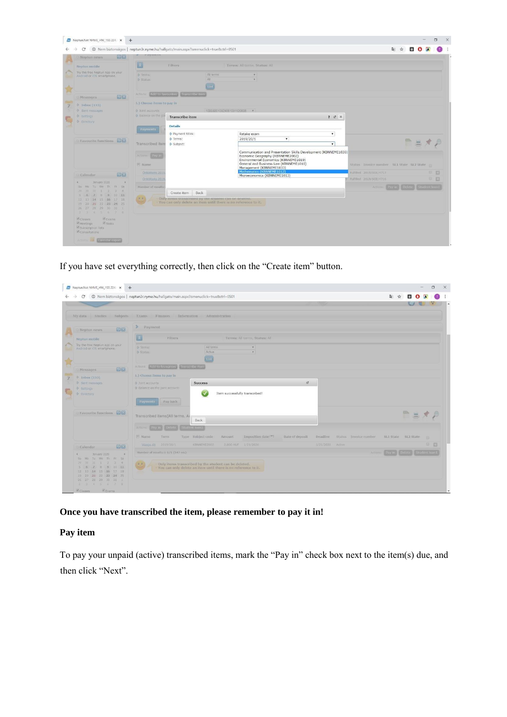| 0363<br>Neptun news                                                                                       | INTOVATOCIA                                                                                                                                                        |                                                                                                                       |                                                                                                                                                                                                                                                 |                                                                      |                              |
|-----------------------------------------------------------------------------------------------------------|--------------------------------------------------------------------------------------------------------------------------------------------------------------------|-----------------------------------------------------------------------------------------------------------------------|-------------------------------------------------------------------------------------------------------------------------------------------------------------------------------------------------------------------------------------------------|----------------------------------------------------------------------|------------------------------|
| Neptun mobile                                                                                             | E.                                                                                                                                                                 | Filters                                                                                                               | Terms: All terms, Status: All                                                                                                                                                                                                                   |                                                                      |                              |
| Try the free Neptun app on your<br>Android or iOS smartphone.                                             | o Terms:<br><b>Status:</b>                                                                                                                                         | All terms<br>All<br>tist                                                                                              | $\mathcal{L}$<br>$\mathcal{F}$ .                                                                                                                                                                                                                |                                                                      |                              |
| 98<br>Messages                                                                                            | Actions:                                                                                                                                                           | Add to favourites Transcribe item                                                                                     |                                                                                                                                                                                                                                                 |                                                                      |                              |
| → Inbox (133)                                                                                             |                                                                                                                                                                    |                                                                                                                       |                                                                                                                                                                                                                                                 |                                                                      |                              |
| Sent messages<br>& settings                                                                               | 1.) Choose items to pay in<br>S Joint accounts<br>S Balance on the joi<br><b>Transcribe</b> item<br><b>Details</b><br><b>Payments</b><br>Payment titles:<br>Terms: |                                                                                                                       | 100330010029061001120008                                                                                                                                                                                                                        | $7c$ $\times$                                                        |                              |
| Tirectory<br>Favourite functions<br>Transcribed Item<br>Actions:<br>Pay in<br>$F$ Name                    | Subject:                                                                                                                                                           | Retake exam<br>2019/20/1<br>$\pmb{\mathrm{v}}$                                                                        | $\pmb{\mathrm{v}}$<br>$\mathbf{v}$                                                                                                                                                                                                              | 鳳                                                                    |                              |
|                                                                                                           | Onkoltseg 2019                                                                                                                                                     |                                                                                                                       | Communication and Presentation Skills Development (KBNNEME1030)<br>Economic Geography (KBNNEME2002)<br>Environmental Economics (KBNNEME1019)<br>General and Business Law (KBNNEME1010)<br>Management (KBNNEME1033)<br>Mathematics (KBNNEME1012) | Status Invoice number SL1 State SL2 State<br>Fulfilled 2019/SOE/4717 | 0 <sub>0</sub>               |
| 切图<br>Calendar                                                                                            | Onköltseg 201                                                                                                                                                      |                                                                                                                       | Microeconomics (KBNNEME1013)                                                                                                                                                                                                                    | Fulfilled 2019/SOE/4716                                              | 日四                           |
| January 2020<br>Su Mo Tu We Th Fr Sa<br>$31 - 1 2$<br>$-30$<br>$3 - 4$<br>297<br>5 6 7 8 9 10 11          | Number of results:                                                                                                                                                 | Create item Back                                                                                                      |                                                                                                                                                                                                                                                 | Actiuns:                                                             | Pay in Delete Student loan 1 |
| 12 13 14 15 16 17 18<br>19 20 21 22 23 24 25<br>26 27 28 29 30 31 1<br>2 3 4 5 6 7 8                      | (3, 4)                                                                                                                                                             | Only nems transcribed by the student can be deleted<br>You can only delete an item until there is no reference to it. |                                                                                                                                                                                                                                                 |                                                                      |                              |
| Classes<br><b><i><i><b>DEXAMS</b></i></i></b><br>Meetings<br>Tasks<br>Subscription lists<br>Consultations |                                                                                                                                                                    |                                                                                                                       |                                                                                                                                                                                                                                                 |                                                                      |                              |

If you have set everything correctly, then click on the "Create item" button.

| Neptun.Net NYME_HW_193.224 x +                                                                                                                                                                                       |                                                                                                                                                                                                   |                     | $\Box$        |
|----------------------------------------------------------------------------------------------------------------------------------------------------------------------------------------------------------------------|---------------------------------------------------------------------------------------------------------------------------------------------------------------------------------------------------|---------------------|---------------|
| C                                                                                                                                                                                                                    | @ Nem biztonságos   neptun3r.nyme.hu/hallgato/main.aspx?ismenuclick=true&ctrl=0501                                                                                                                | 图 ☆<br>ø            |               |
|                                                                                                                                                                                                                      | My data Studies Subjects Exams Finances Information Administration                                                                                                                                |                     |               |
| <b>DO 63</b><br>Neptun news                                                                                                                                                                                          | > Payment                                                                                                                                                                                         |                     |               |
| Neptun mobile                                                                                                                                                                                                        | Terms: All terms, Status: All<br>Filters                                                                                                                                                          |                     |               |
| Try the free Neptun app on your<br>Android or IOS smartphone.                                                                                                                                                        | All terms<br><b>S</b> Terms:<br>$\tau$<br>Active<br>Status:<br>$\tau$<br>tist                                                                                                                     |                     |               |
| <b>E3E3</b><br>Messages                                                                                                                                                                                              | Add to favourites Transcribe item<br>Actions                                                                                                                                                      |                     |               |
| 9. Inbox (133).                                                                                                                                                                                                      | 1.) Choose items to pay in                                                                                                                                                                        |                     |               |
| Sent messages<br><b>Settings</b><br><b>Directory</b>                                                                                                                                                                 | $\mathcal{C}^{\mathcal{B}}$<br><b>Success</b><br>@ Joint accounts<br>C Balance on the joint account:<br>Item successfully transcribed!                                                            |                     |               |
|                                                                                                                                                                                                                      | Pay back<br><b>Payments</b>                                                                                                                                                                       |                     |               |
| Favourite functions DES                                                                                                                                                                                              | Transcribed Items[All terms, A<br>Back                                                                                                                                                            | <b>ED</b><br>邕      |               |
|                                                                                                                                                                                                                      | $t$ fontil<br>Artions                                                                                                                                                                             |                     |               |
|                                                                                                                                                                                                                      | Mame<br>Imposition date<br>Term.<br>Type Subject code<br>Amount<br>Date of deposit<br><b>Deadline</b><br>Status Invoice number                                                                    | SL1 State SL2 State | m             |
| 08<br>Calendar                                                                                                                                                                                                       | 1/21/2020<br>Vizsua di) 2019/20/1<br>KBNNEME2002<br>2:000 HUE<br>1/21/2020 Active                                                                                                                 |                     | 商额            |
| January 2020<br>$\rightarrow$<br>Su Mo Tu We Th Fr Sa<br>31 1 2<br>34<br>263<br>30<br>7 8 9 10 11<br>51<br>$-0.1$<br>13 14 15 16 17 18<br>12<br>19 20 21 22 23 24 25<br>28 29 30 31 1<br>$26 \t 27$<br>2 3 4 5 6 7 8 | Number of results:1-1/1 (547 ms)<br><b>Artions</b><br>Pay in<br>(3, 3)<br>Only items transcribed by the student can be deleted.<br>You can only delete an item until there is no reference to it. |                     | Student loan1 |

**Once you have transcribed the item, please remember to pay it in!** 

# **Pay item**

To pay your unpaid (active) transcribed items, mark the "Pay in" check box next to the item(s) due, and then click "Next".